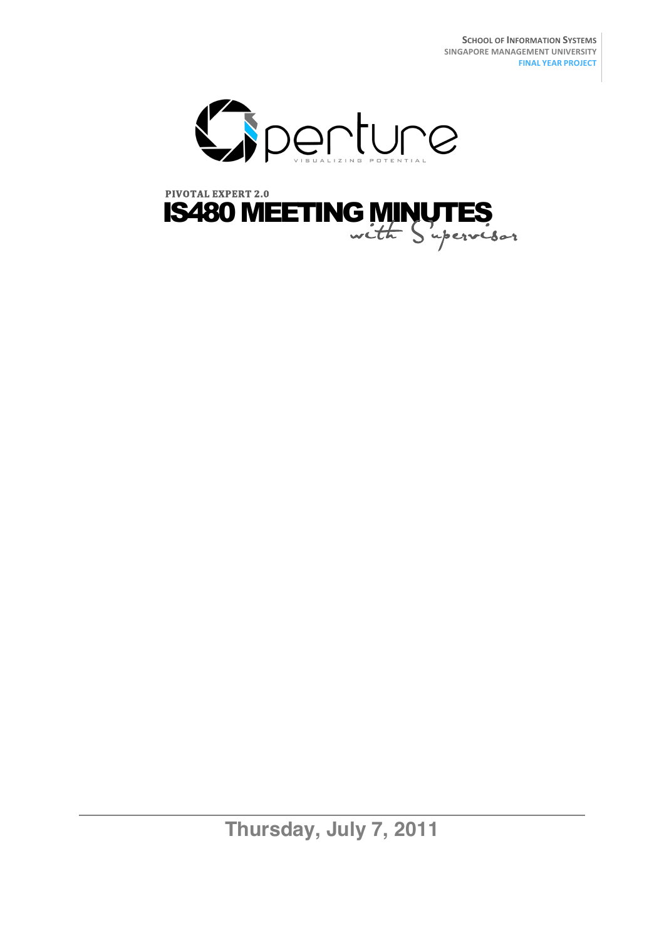

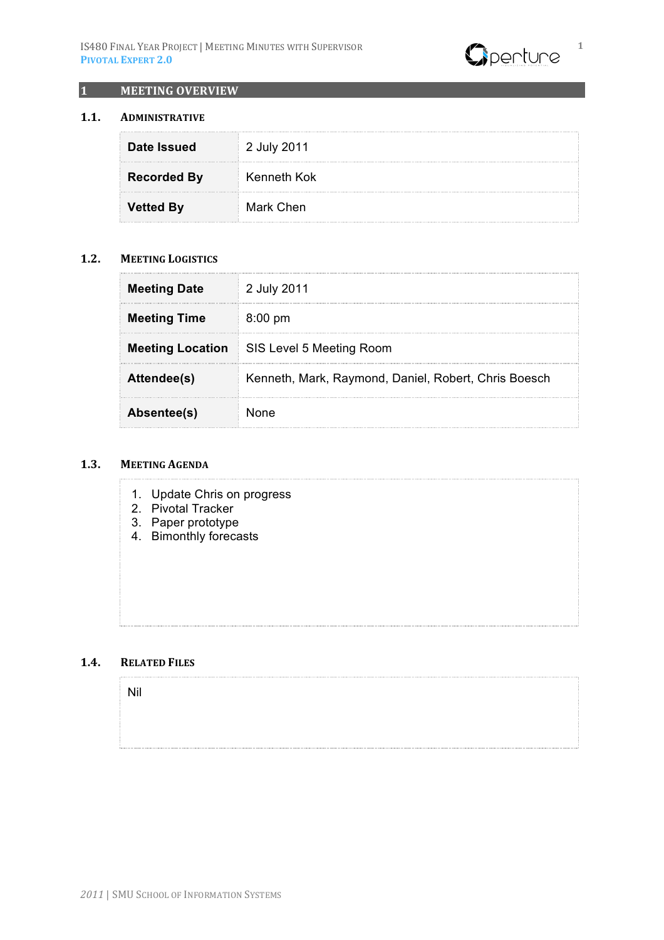

## **1 MEETING OVERVIEW**

#### **1.1. ADMINISTRATIVE**

| Date Issued        | 2 July 2011 |
|--------------------|-------------|
| <b>Recorded By</b> | Kenneth Kok |
| <b>Vetted By</b>   | Mark Chen   |

### **1.2. MEETING LOGISTICS**

| <b>Meeting Date</b>     | 2 July 2011                                          |  |
|-------------------------|------------------------------------------------------|--|
| <b>Meeting Time</b>     | $8:00 \text{ pm}$                                    |  |
| <b>Meeting Location</b> | SIS Level 5 Meeting Room                             |  |
| Attendee(s)             | Kenneth, Mark, Raymond, Daniel, Robert, Chris Boesch |  |
| Absentee(s)             | <b>None</b>                                          |  |

#### 1.3. **MEETING AGENDA**

- 1. Update Chris on progress
- 2. Pivotal Tracker
- 3. Paper prototype
- 4. Bimonthly forecasts

### 1.4. **RELATED FILES**

Nil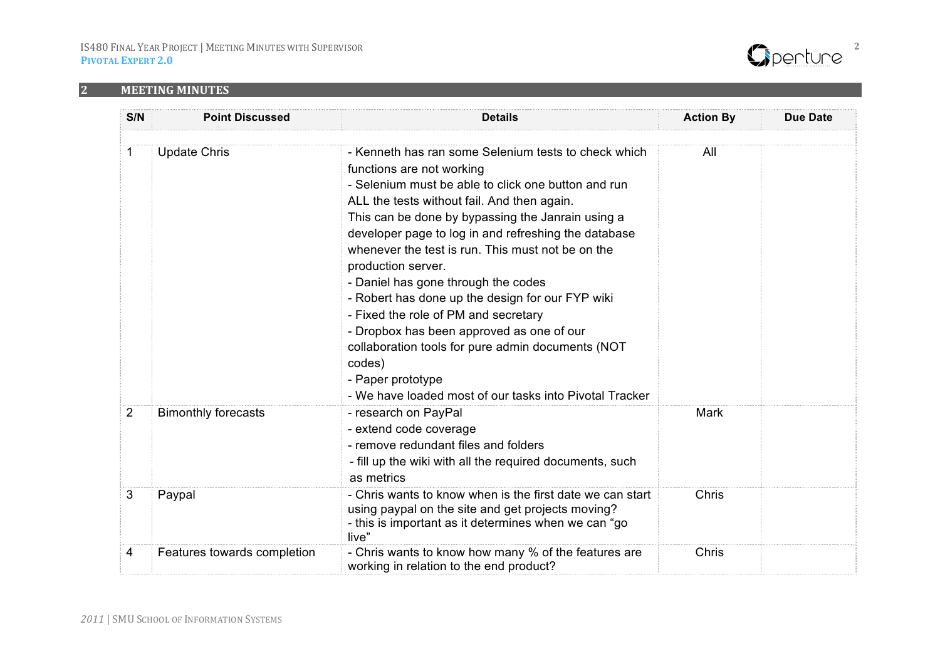

# **2 MEETING(MINUTES**

| S/N | <b>Point Discussed</b>      | <b>Details</b>                                                                                                                                                                                                                                                                                                                                                                                                                                                                                                                                                                                                                                                                                                 | <b>Action By</b> | <b>Due Date</b> |
|-----|-----------------------------|----------------------------------------------------------------------------------------------------------------------------------------------------------------------------------------------------------------------------------------------------------------------------------------------------------------------------------------------------------------------------------------------------------------------------------------------------------------------------------------------------------------------------------------------------------------------------------------------------------------------------------------------------------------------------------------------------------------|------------------|-----------------|
| 1   | <b>Update Chris</b>         | - Kenneth has ran some Selenium tests to check which<br>functions are not working<br>- Selenium must be able to click one button and run<br>ALL the tests without fail. And then again.<br>This can be done by bypassing the Janrain using a<br>developer page to log in and refreshing the database<br>whenever the test is run. This must not be on the<br>production server.<br>- Daniel has gone through the codes<br>- Robert has done up the design for our FYP wiki<br>- Fixed the role of PM and secretary<br>- Dropbox has been approved as one of our<br>collaboration tools for pure admin documents (NOT<br>codes)<br>- Paper prototype<br>- We have loaded most of our tasks into Pivotal Tracker | All              |                 |
| 2   | <b>Bimonthly forecasts</b>  | - research on PayPal<br>- extend code coverage<br>- remove redundant files and folders<br>- fill up the wiki with all the required documents, such<br>as metrics                                                                                                                                                                                                                                                                                                                                                                                                                                                                                                                                               | Mark             |                 |
| 3   | Paypal                      | - Chris wants to know when is the first date we can start<br>using paypal on the site and get projects moving?<br>- this is important as it determines when we can "go<br>live"                                                                                                                                                                                                                                                                                                                                                                                                                                                                                                                                | Chris            |                 |
| 4   | Features towards completion | - Chris wants to know how many % of the features are<br>working in relation to the end product?                                                                                                                                                                                                                                                                                                                                                                                                                                                                                                                                                                                                                | Chris            |                 |